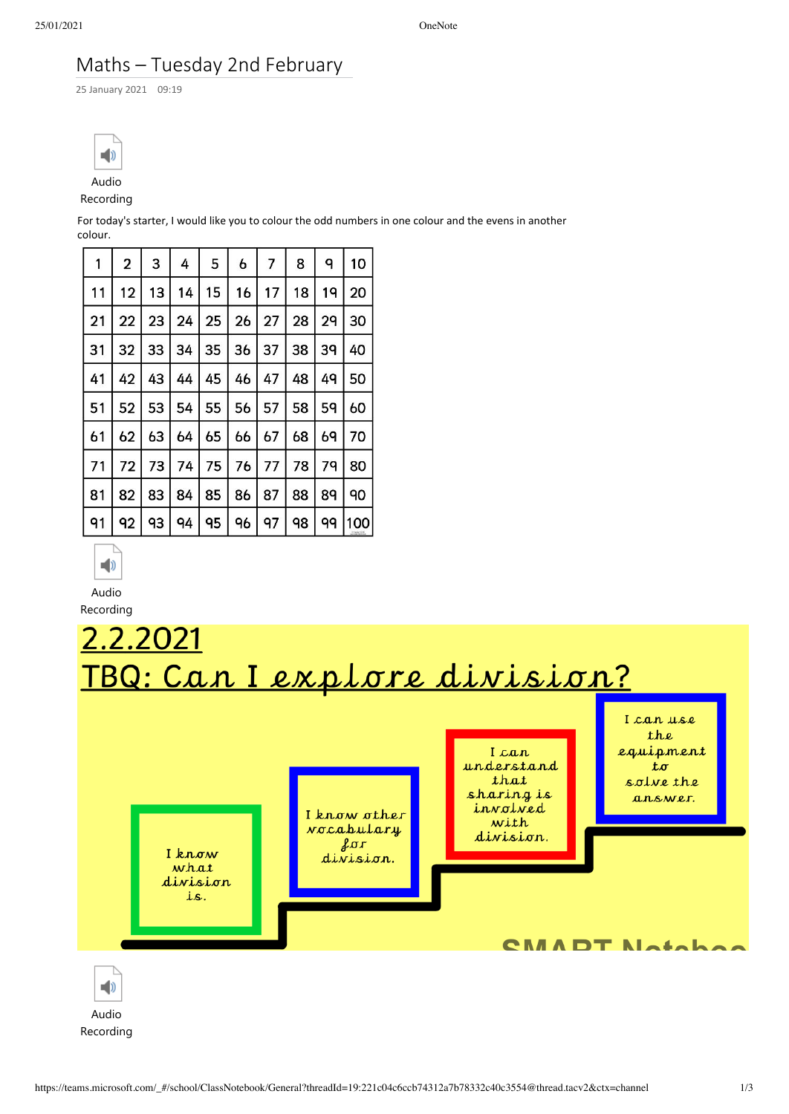## Maths – Tuesday 2nd February

25 January 2021 09:19



## Recording

For today's starter, I would like you to colour the odd numbers in one colour and the evens in another colour.

| 1  | 2  | 3  | 4  | 5  | 6  | 7  | 8  | ٩  | 10  |
|----|----|----|----|----|----|----|----|----|-----|
| 11 | 12 | 13 | 14 | 15 | 16 | 17 | 18 | 19 | 20  |
| 21 | 22 | 23 | 24 | 25 | 26 | 27 | 28 | 29 | 30  |
| 31 | 32 | 33 | 34 | 35 | 36 | 37 | 38 | 39 | 40  |
| 41 | 42 | 43 | 44 | 45 | 46 | 47 | 48 | 49 | 50  |
| 51 | 52 | 53 | 54 | 55 | 56 | 57 | 58 | 59 | 60  |
| 61 | 62 | 63 | 64 | 65 | 66 | 67 | 68 | 69 | 70  |
| 71 | 72 | 73 | 74 | 75 | 76 | 77 | 78 | 79 | 80  |
| 81 | 82 | 83 | 84 | 85 | 86 | 87 | 88 | 89 | 90  |
| 91 | 92 | 93 | 94 | 95 | 96 | 97 | 98 | 99 | 100 |



Audio



Recording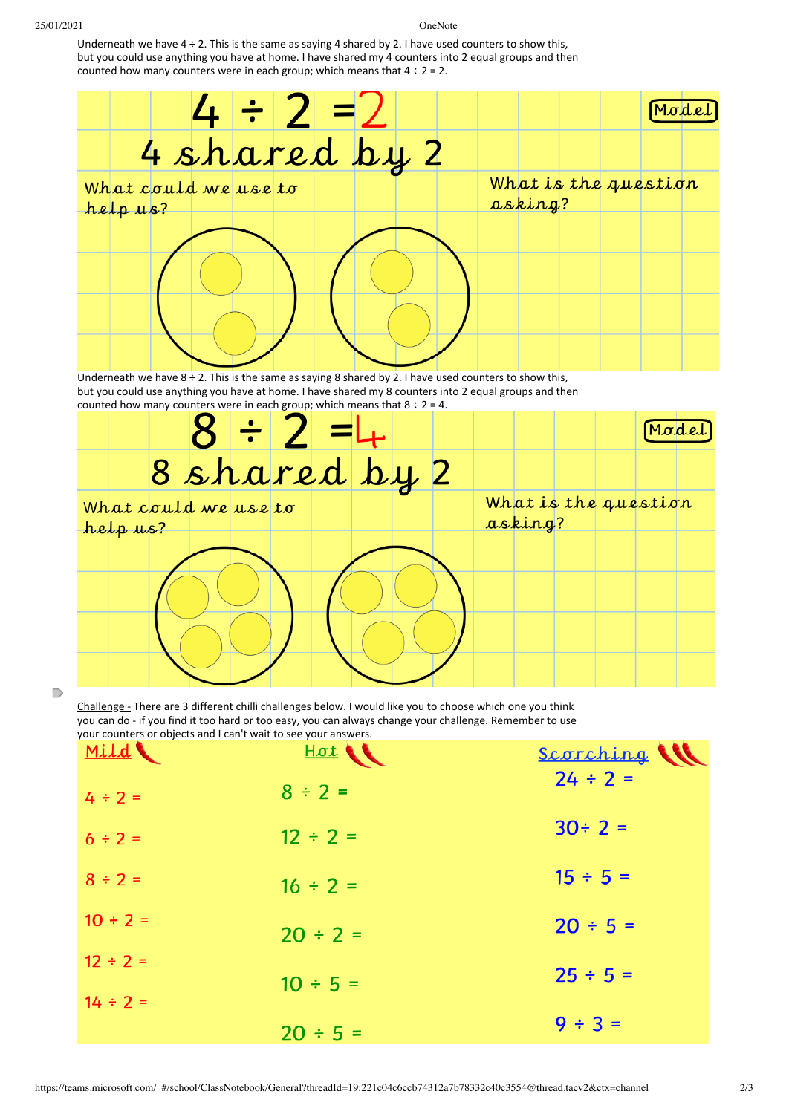Underneath we have  $4 \div 2$ . This is the same as saying 4 shared by 2. I have used counters to show this, but you could use anything you have at home. I have shared my 4 counters into 2 equal groups and then counted how many counters were in each group; which means that  $4 \div 2 = 2$ .



D

Challenge - There are 3 different chilli challenges below. I would like you to choose which one you think you can do - if you find it too hard or too easy, you can always change your challenge. Remember to use your counters or objects and I can't wait to see your answers.

| Mild          | $H\sigma t$   | Scorching     |
|---------------|---------------|---------------|
| $4 \div 2 =$  | $8 \div 2 =$  | $24 \div 2 =$ |
| $6 ÷ 2 =$     | $12 \div 2 =$ | $30 \div 2 =$ |
| $8 \div 2 =$  | $16 \div 2 =$ | $15 \div 5 =$ |
| $10 \div 2 =$ | $20 \div 2 =$ | $20 \div 5 =$ |
| $12 \div 2 =$ | $10 \div 5 =$ | $25 \div 5 =$ |
| $14 \div 2 =$ |               |               |
|               | $20 \div 5 =$ | $9 ÷ 3 =$     |